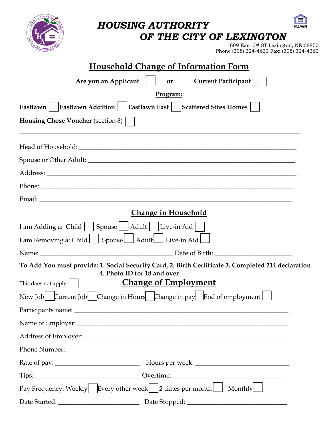*HOUSING AUTHORITY OF THE CITY OF LEXINGTON*  609 East 3rd ST Lexington, NE 68850 Phone (308) 324-4633 Fax: (308) 324-4360 **Household Change of Information Form Are you an Applicant**   $\vert \cdot \vert$  or Current Participant | **Program: Eastlawn** | **Eastlawn Addition** | **Eastlawn East** | **Scattered Sites Homes** | **Housing Chose Voucher** (section 8)  $\vert$ Head of Household:  $\Box$ Spouse or Other Adult: \_\_\_\_\_\_\_\_\_\_\_\_\_\_\_\_\_\_\_\_\_\_\_\_\_\_\_\_\_\_\_\_\_\_\_\_\_\_\_\_\_\_\_\_\_\_\_\_\_\_\_\_\_\_\_\_\_\_\_\_\_\_\_\_ Address: \_\_\_\_\_\_\_\_\_\_\_\_\_\_\_\_\_\_\_\_\_\_\_\_\_\_\_\_\_\_\_\_\_\_\_\_\_\_\_\_\_\_\_\_\_\_\_\_\_\_\_\_\_\_\_\_\_\_\_\_\_\_\_\_\_\_\_\_\_\_\_\_\_\_\_\_\_ Phone: Email: \_\_\_\_\_\_\_\_\_\_\_\_\_\_\_\_\_\_\_\_\_\_\_\_\_\_\_\_\_\_\_\_\_\_\_\_\_\_\_\_\_\_\_\_\_\_\_\_\_\_\_\_\_\_\_\_\_\_\_\_\_\_\_\_\_\_\_\_\_\_\_\_\_\_\_\_\_\_ **Change in Household** I am Adding a: Child  $\Box$  Spouse  $\Box$  Adult  $\Box$  Live-in Aid  $\Box$ I am Removing a: Child  $□$  Spouse □ Adult □ Live-in Aid □ Name: \_\_\_\_\_\_\_\_\_\_\_\_\_\_\_\_\_\_\_\_\_\_\_\_\_\_\_\_\_\_\_\_\_\_\_\_\_\_\_\_\_ Date of Birth: \_\_\_\_\_\_\_\_\_\_\_\_\_\_\_\_\_\_\_\_\_\_\_\_ **To Add You must provide: 1. Social Security Card, 2. Birth Certificate 3. Completed 214 declaration 4. Photo ID for 18 and over** This does not apply **letter Change of Employment** New Job ☐ Current Job ☐ Change in Hours ☐Change in pay☐ End of employment ☐ Participants name: \_\_\_\_\_\_\_\_\_\_\_\_\_\_\_\_\_\_\_\_\_\_\_\_\_\_\_\_\_\_\_\_\_\_\_\_\_\_\_\_\_\_\_\_\_\_\_\_\_\_\_\_\_\_\_\_\_\_\_\_\_\_\_\_\_\_ Name of Employer: \_\_\_\_\_\_\_\_\_\_\_\_\_\_\_\_\_\_\_\_\_\_\_\_\_\_\_\_\_\_\_\_\_\_\_\_\_\_\_\_\_\_\_\_\_\_\_\_\_\_\_\_\_\_\_\_\_\_\_\_\_\_\_\_\_ Address of Employer: \_\_\_\_\_\_\_\_\_\_\_\_\_\_\_\_\_\_\_\_\_\_\_\_\_\_\_\_\_\_\_\_\_\_\_\_\_\_\_\_\_\_\_\_\_\_\_\_\_\_\_\_\_\_\_\_\_\_\_\_\_\_\_ Phone Number: Rate of pay: \_\_\_\_\_\_\_\_\_\_\_\_\_\_\_\_\_\_\_\_\_\_\_\_\_\_ Hours per week: \_\_\_\_\_\_\_\_\_\_\_\_\_\_\_\_\_\_\_\_\_\_\_\_\_\_\_\_\_

| Tips:         | Overtime:                                                                                  |
|---------------|--------------------------------------------------------------------------------------------|
|               | Pay Frequency: Weekly Every other week   $ 2 \times$ 2 times per month $  \cdot  $ Monthly |
| Date Started: | Date Stopped:                                                                              |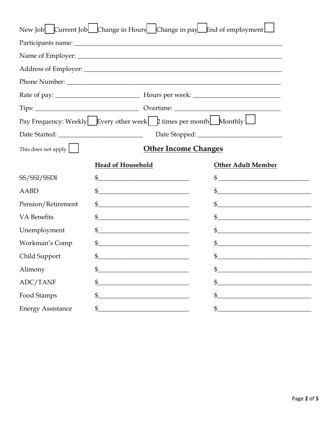| New Job Current Job Change in Hours Change in pay End of employment                |                                                                                                                            |  |                           |  |
|------------------------------------------------------------------------------------|----------------------------------------------------------------------------------------------------------------------------|--|---------------------------|--|
|                                                                                    |                                                                                                                            |  |                           |  |
|                                                                                    |                                                                                                                            |  |                           |  |
|                                                                                    |                                                                                                                            |  |                           |  |
|                                                                                    |                                                                                                                            |  |                           |  |
|                                                                                    |                                                                                                                            |  |                           |  |
|                                                                                    |                                                                                                                            |  |                           |  |
| Pay Frequency: Weekly Every other week [ $\uparrow$ times per month Monthly $\Box$ |                                                                                                                            |  |                           |  |
|                                                                                    |                                                                                                                            |  |                           |  |
| <b>Other Income Changes</b><br>This does not apply                                 |                                                                                                                            |  |                           |  |
|                                                                                    | <b>Head of Household</b>                                                                                                   |  | <b>Other Adult Member</b> |  |
| SS/SSI/SSDI                                                                        | $\mathfrak{S}$ and $\mathfrak{S}$                                                                                          |  | $\mathfrak{S}$            |  |
| <b>AABD</b>                                                                        | $\mathfrak{S}$                                                                                                             |  | $\mathfrak{S}$            |  |
| Pension/Retirement                                                                 | \$                                                                                                                         |  | $\mathfrak{S}$            |  |
| <b>VA</b> Benefits                                                                 | \$<br><u> 1980 - Jan Stein Stein Stein Stein Stein Stein Stein Stein Stein Stein Stein Stein Stein Stein Stein Stein S</u> |  | $\mathfrak{S}$            |  |
| Unemployment                                                                       | \$<br><u> 1980 - Jan Stein Stein Stein Stein Stein Stein Stein Stein Stein Stein Stein Stein Stein Stein Stein Stein S</u> |  | $\mathfrak{S}^-$          |  |
| Workman's Comp                                                                     | \$<br><u> 1980 - Jan James James Barbara, president e</u>                                                                  |  | \$                        |  |
| Child Support                                                                      | \$<br><u> 1980 - Jan Barbara Barbara, manazarta </u>                                                                       |  | \$                        |  |
| Alimony                                                                            | \$                                                                                                                         |  | \$                        |  |
| ADC/TANF                                                                           | \$                                                                                                                         |  | \$                        |  |
| Food Stamps                                                                        | \$                                                                                                                         |  | \$                        |  |
| <b>Energy Assistance</b>                                                           | \$                                                                                                                         |  | $\mathfrak{S}$            |  |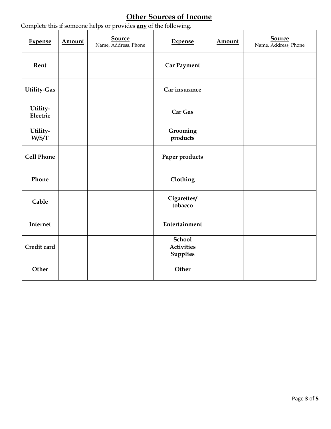## **Other Sources of Income**

| <b>Expense</b>       | Amount | <b>Source</b><br>Name, Address, Phone | <b>Expense</b>                                        | Amount | <b>Source</b><br>Name, Address, Phone |
|----------------------|--------|---------------------------------------|-------------------------------------------------------|--------|---------------------------------------|
| Rent                 |        |                                       | <b>Car Payment</b>                                    |        |                                       |
| Utility-Gas          |        |                                       | Car insurance                                         |        |                                       |
| Utility-<br>Electric |        |                                       | Car Gas                                               |        |                                       |
| Utility-<br>W/S/T    |        |                                       | Grooming<br>products                                  |        |                                       |
| <b>Cell Phone</b>    |        |                                       | Paper products                                        |        |                                       |
| Phone                |        |                                       | Clothing                                              |        |                                       |
| Cable                |        |                                       | Cigarettes/<br>tobacco                                |        |                                       |
| Internet             |        |                                       | Entertainment                                         |        |                                       |
| Credit card          |        |                                       | <b>School</b><br><b>Activities</b><br><b>Supplies</b> |        |                                       |
| Other                |        |                                       | Other                                                 |        |                                       |

Complete this if someone helps or provides **any** of the following.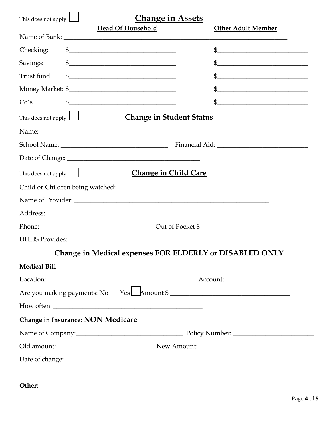| This does not apply $\Box$                | <b>Change in Assets</b><br><b>Head Of Household</b> | <b>Other Adult Member</b>                                                                                                                                                                                                                                                                                                                                                                                                                                                                                                                                                                                                   |
|-------------------------------------------|-----------------------------------------------------|-----------------------------------------------------------------------------------------------------------------------------------------------------------------------------------------------------------------------------------------------------------------------------------------------------------------------------------------------------------------------------------------------------------------------------------------------------------------------------------------------------------------------------------------------------------------------------------------------------------------------------|
|                                           |                                                     |                                                                                                                                                                                                                                                                                                                                                                                                                                                                                                                                                                                                                             |
| Checking:                                 | $\oint$                                             | $\sim$                                                                                                                                                                                                                                                                                                                                                                                                                                                                                                                                                                                                                      |
| Savings:                                  | $\frac{1}{2}$                                       | $\frac{1}{2}$                                                                                                                                                                                                                                                                                                                                                                                                                                                                                                                                                                                                               |
| Trust fund:                               | $\frac{1}{2}$                                       | $\frac{1}{2}$                                                                                                                                                                                                                                                                                                                                                                                                                                                                                                                                                                                                               |
|                                           |                                                     | $\quad \  \  \, {\mathbb S} \underline{\hspace{2cm}} \underline{\hspace{2cm}} \underline{\hspace{2cm}} \underline{\hspace{2cm}} \underline{\hspace{2cm}} \underline{\hspace{2cm}} \underline{\hspace{2cm}} \underline{\hspace{2cm}} \underline{\hspace{2cm}} \underline{\hspace{2cm}} \underline{\hspace{2cm}} \underline{\hspace{2cm}} \underline{\hspace{2cm}} \underline{\hspace{2cm}} \underline{\hspace{2cm}} \underline{\hspace{2cm}} \underline{\hspace{2cm}} \underline{\hspace{2cm}} \underline{\hspace{2cm}} \underline{\hspace{2cm}} \underline{\hspace{2cm}} \underline{\hspace{2cm}} \underline{\hspace{2cm}}$ |
| Cd's                                      | $\frac{1}{2}$                                       | $\frac{1}{2}$                                                                                                                                                                                                                                                                                                                                                                                                                                                                                                                                                                                                               |
| This does not apply $\boxed{\phantom{1}}$ | <b>Change in Student Status</b>                     |                                                                                                                                                                                                                                                                                                                                                                                                                                                                                                                                                                                                                             |
|                                           |                                                     |                                                                                                                                                                                                                                                                                                                                                                                                                                                                                                                                                                                                                             |
|                                           |                                                     |                                                                                                                                                                                                                                                                                                                                                                                                                                                                                                                                                                                                                             |
|                                           |                                                     |                                                                                                                                                                                                                                                                                                                                                                                                                                                                                                                                                                                                                             |
| This does not apply $\vert \vert$         | <b>Change in Child Care</b>                         |                                                                                                                                                                                                                                                                                                                                                                                                                                                                                                                                                                                                                             |
|                                           |                                                     |                                                                                                                                                                                                                                                                                                                                                                                                                                                                                                                                                                                                                             |
|                                           |                                                     |                                                                                                                                                                                                                                                                                                                                                                                                                                                                                                                                                                                                                             |
|                                           |                                                     |                                                                                                                                                                                                                                                                                                                                                                                                                                                                                                                                                                                                                             |
|                                           |                                                     | Phone: 2008 Contract Contract Contract Contract Contract Contract Contract Contract Contract Contract Contract Contract Contract Contract Contract Contract Contract Contract Contract Contract Contract Contract Contract Con                                                                                                                                                                                                                                                                                                                                                                                              |
|                                           |                                                     |                                                                                                                                                                                                                                                                                                                                                                                                                                                                                                                                                                                                                             |
|                                           |                                                     | <b>Change in Medical expenses FOR ELDERLY or DISABLED ONLY</b>                                                                                                                                                                                                                                                                                                                                                                                                                                                                                                                                                              |
| <b>Medical Bill</b>                       |                                                     |                                                                                                                                                                                                                                                                                                                                                                                                                                                                                                                                                                                                                             |
|                                           |                                                     |                                                                                                                                                                                                                                                                                                                                                                                                                                                                                                                                                                                                                             |
|                                           |                                                     | Are you making payments: No Yes Amount \$                                                                                                                                                                                                                                                                                                                                                                                                                                                                                                                                                                                   |
|                                           |                                                     |                                                                                                                                                                                                                                                                                                                                                                                                                                                                                                                                                                                                                             |
| Change in Insurance: NON Medicare         |                                                     |                                                                                                                                                                                                                                                                                                                                                                                                                                                                                                                                                                                                                             |
|                                           |                                                     |                                                                                                                                                                                                                                                                                                                                                                                                                                                                                                                                                                                                                             |
|                                           |                                                     |                                                                                                                                                                                                                                                                                                                                                                                                                                                                                                                                                                                                                             |
|                                           |                                                     |                                                                                                                                                                                                                                                                                                                                                                                                                                                                                                                                                                                                                             |
|                                           |                                                     |                                                                                                                                                                                                                                                                                                                                                                                                                                                                                                                                                                                                                             |
|                                           |                                                     |                                                                                                                                                                                                                                                                                                                                                                                                                                                                                                                                                                                                                             |